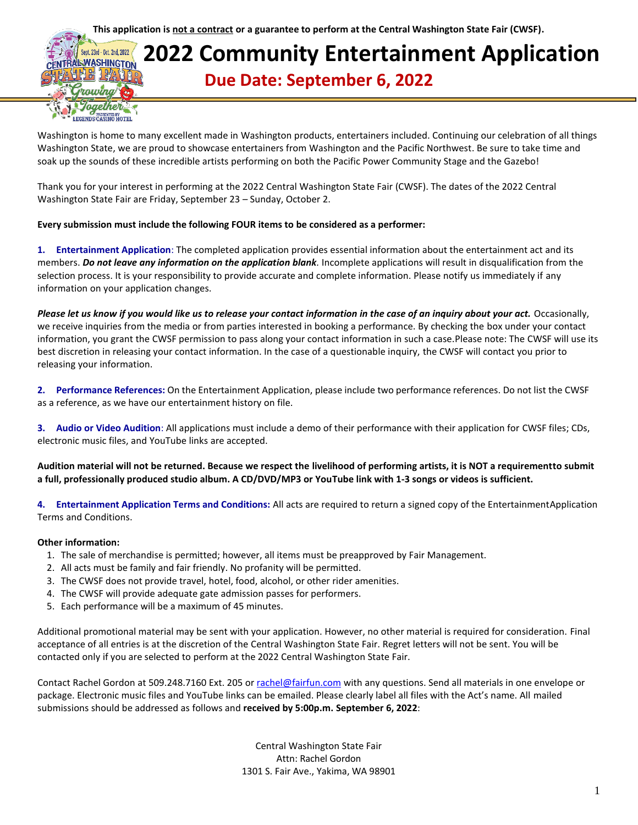**This application is not a contract or a guarantee to perform at the Central Washington State Fair (CWSF).**

### **2022 Community Entertainment Application WASHINGTON Due Date: September 6, 2022**

Washington is home to many excellent made in Washington products, entertainers included. Continuing our celebration of all things Washington State, we are proud to showcase entertainers from Washington and the Pacific Northwest. Be sure to take time and soak up the sounds of these incredible artists performing on both the Pacific Power Community Stage and the Gazebo!

Thank you for your interest in performing at the 2022 Central Washington State Fair (CWSF). The dates of the 2022 Central Washington State Fair are Friday, September 23 – Sunday, October 2.

#### **Every submission must include the following FOUR items to be considered as a performer:**

**1. Entertainment Application**: The completed application provides essential information about the entertainment act and its members. *Do not leave any information on the application blank.* Incomplete applications will result in disqualification from the selection process. It is your responsibility to provide accurate and complete information. Please notify us immediately if any information on your application changes.

*Please let us know if you would like us to release your contact information in the case of an inquiry about your act.* Occasionally, we receive inquiries from the media or from parties interested in booking a performance. By checking the box under your contact information, you grant the CWSF permission to pass along your contact information in such a case.Please note: The CWSF will use its best discretion in releasing your contact information. In the case of a questionable inquiry, the CWSF will contact you prior to releasing your information.

**2. Performance References:** On the Entertainment Application, please include two performance references. Do not list the CWSF as a reference, as we have our entertainment history on file.

**3. Audio or Video Audition**: All applications must include a demo of their performance with their application for CWSF files; CDs, electronic music files, and YouTube links are accepted.

**Audition material will not be returned. Because we respect the livelihood of performing artists, it is NOT a requirementto submit a full, professionally produced studio album. A CD/DVD/MP3 or YouTube link with 1-3 songs or videos is sufficient.**

**4. Entertainment Application Terms and Conditions:** All acts are required to return a signed copy of the EntertainmentApplication Terms and Conditions.

#### **Other information:**

t. 23rd - Det. 2nd. 2022

- 1. The sale of merchandise is permitted; however, all items must be preapproved by Fair Management.
- 2. All acts must be family and fair friendly. No profanity will be permitted.
- 3. The CWSF does not provide travel, hotel, food, alcohol, or other rider amenities.
- 4. The CWSF will provide adequate gate admission passes for performers.
- 5. Each performance will be a maximum of 45 minutes.

Additional promotional material may be sent with your application. However, no other material is required for consideration. Final acceptance of all entries is at the discretion of the Central Washington State Fair. Regret letters will not be sent. You will be contacted only if you are selected to perform at the 2022 Central Washington State Fair.

Contact Rachel Gordon at 509.248.7160 Ext. 205 o[r rachel@fairfun.com](mailto:rachel@fairfun.com) with any questions. Send all materials in one envelope or package. Electronic music files and YouTube links can be emailed. Please clearly label all files with the Act's name. All mailed submissions should be addressed as follows and **received by 5:00p.m. September 6, 2022**:

> Central Washington State Fair Attn: Rachel Gordon 1301 S. Fair Ave., Yakima, WA 98901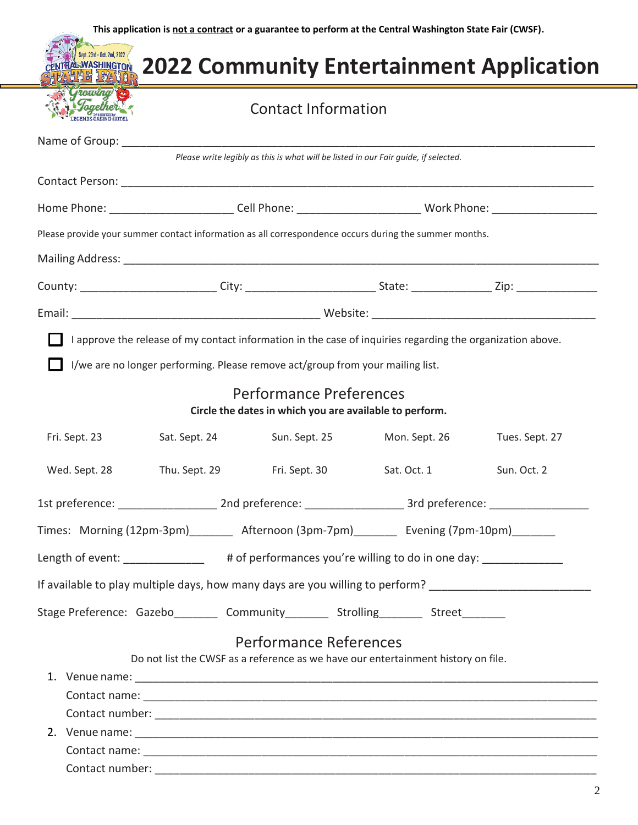| <i><b><i>Trowing</i></b></i> | <b>Contact Information</b> |                                                                                                                                                                      |                                                                                                       |                                                                                                                |  |  |
|------------------------------|----------------------------|----------------------------------------------------------------------------------------------------------------------------------------------------------------------|-------------------------------------------------------------------------------------------------------|----------------------------------------------------------------------------------------------------------------|--|--|
|                              |                            |                                                                                                                                                                      |                                                                                                       |                                                                                                                |  |  |
|                              |                            |                                                                                                                                                                      | Please write legibly as this is what will be listed in our Fair guide, if selected.                   |                                                                                                                |  |  |
|                              |                            |                                                                                                                                                                      |                                                                                                       |                                                                                                                |  |  |
|                              |                            |                                                                                                                                                                      |                                                                                                       | Home Phone: ____________________________Cell Phone: ___________________________Work Phone: ___________________ |  |  |
|                              |                            |                                                                                                                                                                      | Please provide your summer contact information as all correspondence occurs during the summer months. |                                                                                                                |  |  |
|                              |                            |                                                                                                                                                                      |                                                                                                       |                                                                                                                |  |  |
|                              |                            |                                                                                                                                                                      |                                                                                                       |                                                                                                                |  |  |
|                              |                            |                                                                                                                                                                      |                                                                                                       |                                                                                                                |  |  |
|                              |                            | I/we are no longer performing. Please remove act/group from your mailing list.<br>Performance Preferences<br>Circle the dates in which you are available to perform. |                                                                                                       |                                                                                                                |  |  |
| Fri. Sept. 23                | Sat. Sept. 24              | Sun. Sept. 25                                                                                                                                                        | Mon. Sept. 26                                                                                         | Tues. Sept. 27                                                                                                 |  |  |
| Wed. Sept. 28                | Thu. Sept. 29              | Fri. Sept. 30                                                                                                                                                        | Sat. Oct. 1                                                                                           | Sun. Oct. 2                                                                                                    |  |  |
|                              |                            |                                                                                                                                                                      |                                                                                                       | 1st preference: __________________________2nd preference: ______________________3rd preference: ______________ |  |  |
|                              |                            |                                                                                                                                                                      | Times: Morning (12pm-3pm)________ Afternoon (3pm-7pm)_______ Evening (7pm-10pm)______                 |                                                                                                                |  |  |
|                              |                            |                                                                                                                                                                      | Length of event: ______________ # of performances you're willing to do in one day: ____________       |                                                                                                                |  |  |
|                              |                            |                                                                                                                                                                      |                                                                                                       | If available to play multiple days, how many days are you willing to perform? _______________________________  |  |  |
|                              |                            |                                                                                                                                                                      | Stage Preference: Gazebo__________ Community__________ Strolling_________ Street________              |                                                                                                                |  |  |
|                              |                            | <b>Performance References</b>                                                                                                                                        |                                                                                                       |                                                                                                                |  |  |
|                              |                            |                                                                                                                                                                      | Do not list the CWSF as a reference as we have our entertainment history on file.                     |                                                                                                                |  |  |
|                              |                            |                                                                                                                                                                      |                                                                                                       |                                                                                                                |  |  |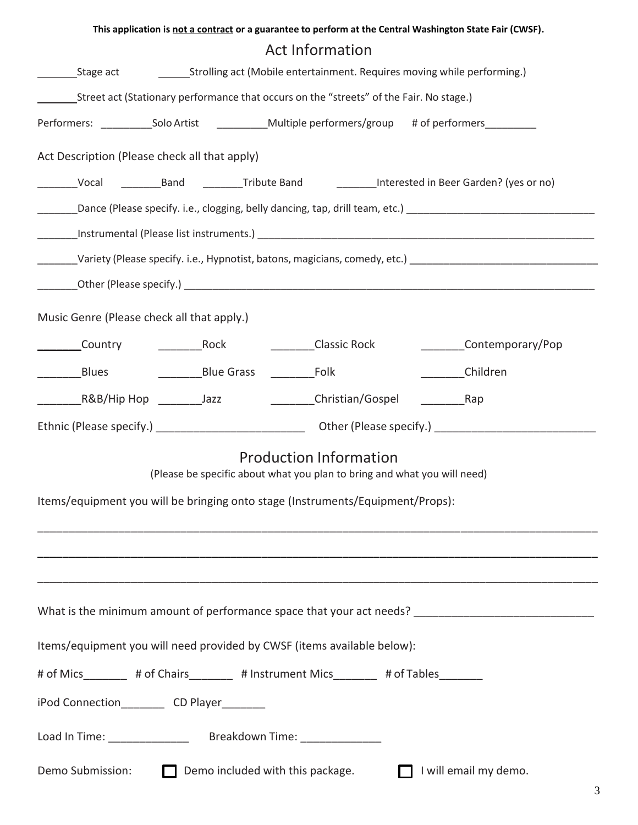|                                                                                                                |  |                                                                         |  | This application is not a contract or a guarantee to perform at the Central Washington State Fair (CWSF).  |  |  |  |
|----------------------------------------------------------------------------------------------------------------|--|-------------------------------------------------------------------------|--|------------------------------------------------------------------------------------------------------------|--|--|--|
| <b>Act Information</b>                                                                                         |  |                                                                         |  |                                                                                                            |  |  |  |
| Stage act                                                                                                      |  | Strolling act (Mobile entertainment. Requires moving while performing.) |  |                                                                                                            |  |  |  |
| Street act (Stationary performance that occurs on the "streets" of the Fair. No stage.)                        |  |                                                                         |  |                                                                                                            |  |  |  |
| Performers: ______________Solo Artist _______________Multiple performers/group # of performers___________      |  |                                                                         |  |                                                                                                            |  |  |  |
| Act Description (Please check all that apply)                                                                  |  |                                                                         |  |                                                                                                            |  |  |  |
|                                                                                                                |  |                                                                         |  | _________Vocal ____________Band ___________Tribute Band ____________Interested in Beer Garden? (yes or no) |  |  |  |
|                                                                                                                |  |                                                                         |  |                                                                                                            |  |  |  |
|                                                                                                                |  |                                                                         |  |                                                                                                            |  |  |  |
| _______Variety (Please specify. i.e., Hypnotist, batons, magicians, comedy, etc.) ____________________________ |  |                                                                         |  |                                                                                                            |  |  |  |
|                                                                                                                |  |                                                                         |  |                                                                                                            |  |  |  |
| Music Genre (Please check all that apply.)                                                                     |  |                                                                         |  |                                                                                                            |  |  |  |
|                                                                                                                |  |                                                                         |  |                                                                                                            |  |  |  |
|                                                                                                                |  |                                                                         |  | _________Children                                                                                          |  |  |  |
|                                                                                                                |  |                                                                         |  |                                                                                                            |  |  |  |
|                                                                                                                |  |                                                                         |  |                                                                                                            |  |  |  |
|                                                                                                                |  | <b>Production Information</b>                                           |  |                                                                                                            |  |  |  |
| (Please be specific about what you plan to bring and what you will need)                                       |  |                                                                         |  |                                                                                                            |  |  |  |
| Items/equipment you will be bringing onto stage (Instruments/Equipment/Props):                                 |  |                                                                         |  |                                                                                                            |  |  |  |
|                                                                                                                |  |                                                                         |  |                                                                                                            |  |  |  |
|                                                                                                                |  |                                                                         |  |                                                                                                            |  |  |  |
|                                                                                                                |  |                                                                         |  |                                                                                                            |  |  |  |
|                                                                                                                |  |                                                                         |  | What is the minimum amount of performance space that your act needs? _______________________________       |  |  |  |
| Items/equipment you will need provided by CWSF (items available below):                                        |  |                                                                         |  |                                                                                                            |  |  |  |
| # of Mics________ # of Chairs________ # Instrument Mics_______ # of Tables_______                              |  |                                                                         |  |                                                                                                            |  |  |  |
| iPod Connection____________CD Player_________                                                                  |  |                                                                         |  |                                                                                                            |  |  |  |
|                                                                                                                |  |                                                                         |  |                                                                                                            |  |  |  |
| Demo Submission:                                                                                               |  | Demo included with this package.                                        |  | I will email my demo.                                                                                      |  |  |  |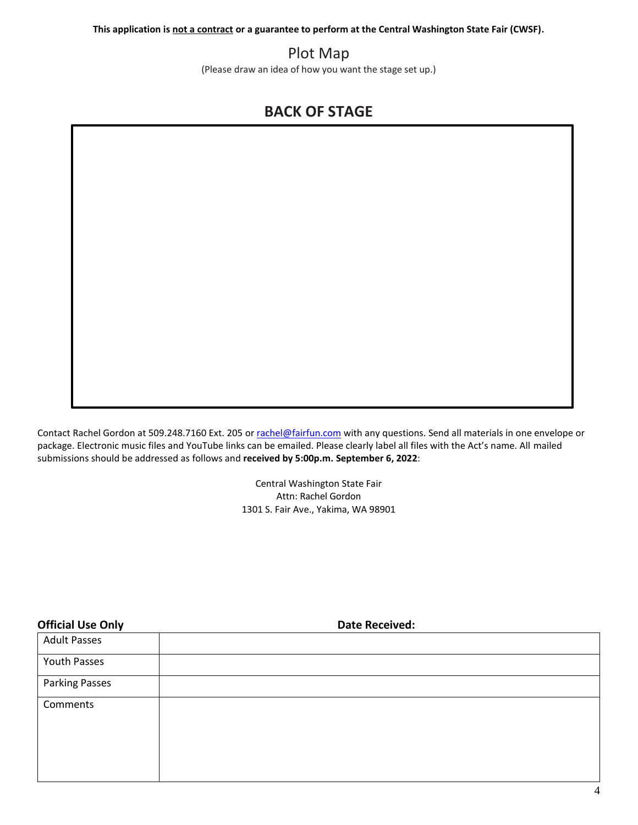**This application is not a contract or a guarantee to perform at the Central Washington State Fair (CWSF).**

## Plot Map

(Please draw an idea of how you want the stage set up.)

# **BACK OF STAGE**

Contact Rachel Gordon at 509.248.7160 Ext. 205 o[r rachel@fairfun.com](mailto:rachel@fairfun.com) with any questions. Send all materials in one envelope or package. Electronic music files and YouTube links can be emailed. Please clearly label all files with the Act's name. All mailed submissions should be addressed as follows and **received by 5:00p.m. September 6, 2022**:

> Central Washington State Fair Attn: Rachel Gordon 1301 S. Fair Ave., Yakima, WA 98901

| <b>Official Use Only</b> | <b>Date Received:</b> |
|--------------------------|-----------------------|
| <b>Adult Passes</b>      |                       |
| Youth Passes             |                       |
| <b>Parking Passes</b>    |                       |
| Comments                 |                       |